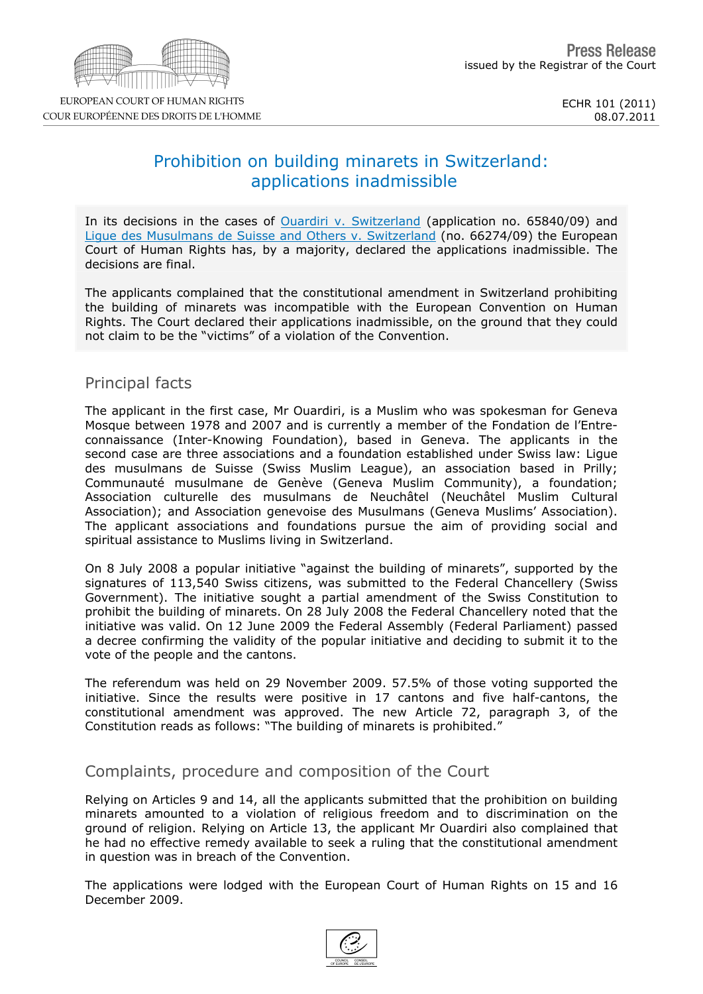$\mathbb{F}^n=\#$  $\sqrt[6]{\frac{1}{2}}$ 

| L<br>&<br>$\overline{0}$                                                                       | &<br>$\mathbf{1}$                                                                             | $\#$<br>$\overline{2}$<br>$\&$<br>$\mathbf{1}$                                                                                  | $\#$<br>$\%$ $\%$                                                                        | $% \%$ &<br>$\star$ $\star$<br>$\&$                                | $\%$<br>3                |
|------------------------------------------------------------------------------------------------|-----------------------------------------------------------------------------------------------|---------------------------------------------------------------------------------------------------------------------------------|------------------------------------------------------------------------------------------|--------------------------------------------------------------------|--------------------------|
| $\pmb{8}$                                                                                      |                                                                                               |                                                                                                                                 |                                                                                          |                                                                    |                          |
| $\mathfrak{S}$<br>% %<br>& &<br>$\sqrt{3}$<br>&                                                | $\%$<br>$\&$<br>4) &<br>$\,$ 5 $\,$                                                           | &<br>& %<br>$\pmb{\mathsf{II}}$<br>$% %$ &<br>$\overline{\phantom{a}}$                                                          | $\%$<br>$\mathbf{1}$                                                                     | $\mathbb{P}^n$<br>$\#$<br>$\mathcal{C}$                            | $\%$<br>$\&$             |
| & % &                                                                                          |                                                                                               |                                                                                                                                 |                                                                                          |                                                                    |                          |
| % % &<br>3<br>$\overline{0}$<br>8<br>$\mathbf{H}$<br>&<br>$\mathbf{I}$<br>$\&$<br>$\&$<br>$\&$ | &<br>10<br>Π.<br>$\boldsymbol{9}$<br>$\frac{1}{2}$<br>$\&$<br>$\mathbf{I}^{\mathrm{in}}$<br>Ţ | $\overline{1}$<br>$\mathbf 0$<br>$\left($<br>&<br>$\mathbf{1}$<br>$\sqrt{2}$<br>$\mathbf 0$                                     | ш<br>л,<br>$\overline{7}$<br>$\mathcal{E}$<br>$\mathbf{1}$                               | % 6<br>$\boldsymbol{9}$<br>% %<br>$3^{\circ}$<br>$\mathsf{I}$<br>& | 7<br>&<br>" \$/          |
| $\, >$<br>&<br>$\&$<br>&<br>$=$<br>$\%$ $\%$<br>$\mathbf{3}$<br>&<br>$\%$                      | $\overline{7}$<br>$\&$<br>&<br>80                                                             | $?$ )<br>$\overline{7}$<br>$\left( \begin{array}{c} \end{array} \right)$<br>@<br>0<br>$\%$<br>$\mathbf{I}$ $\mathbf{B}$<br>$\#$ | $\pmb{0}$<br>& A<br>@<br>$\overline{7}$<br>$\left( \begin{array}{c} \end{array} \right)$ | 1<br>& A 0<br>$\pmb{0}$<br>$\%$<br>$\mathcal{E}$                   | $=$<br>&<br>&            |
| $\sf B$<br>7)<br>3<br>$\%$<br>$)^"$<br>$\mathcal{L}$<br>&<br>&<br>$\%$<br>$\mathcal{C}$        | % %<br>$C1 +$ , !"<br>&<br>B<br>$\overline{(}$<br>$\mathcal{E}$<br>&<br>$\%$                  | )4<br>"1<br>#<br>$\%$<br>$\sf B$<br>$\overline{(}$<br>$\begin{matrix}9\\9\\%&\%\\2\end{matrix}$                                 | 9<br>$\boldsymbol{9}$<br>9<br>$\lambda$                                                  | 51 % %<br>$\&$<br>$\mathbf{I}$ "<br>&<br>$\&$                      | $\mathbf{I}$ "<br>$\%$   |
| $\pmb{\mathsf{H}}$<br>3<br>$)$ !<br>$\&$<br>$\&$                                               | П<br>П<br>$\mathbf H$<br>\$                                                                   | @<br>$\rightarrow$<br>$\%$<br>$\mathcal{C}$<br>$\%$ $\%$<br>$\lambda$<br>$\sqrt{3}$<br>43                                       | $+ D$<br>$+$<br>$\&$<br>$\pmb{\mathfrak{m}}$<br>$\&$<br>$\%$                             | $\%$<br>$\mathbf 1$<br>5                                           | % %<br>; 8<br>1<br>% C 1 |
|                                                                                                | % 1 % & & %                                                                                   |                                                                                                                                 |                                                                                          |                                                                    |                          |
| $\frac{1}{2}$<br>$\bf 8$                                                                       |                                                                                               |                                                                                                                                 |                                                                                          | % & $\frac{8}{8}$ %                                                |                          |

 $% %$ 

 $+$   $*$  $\frac{1}{2}$   $\frac{1}{2}$   $\frac{1}{2}$   $\frac{1}{2}$   $\frac{1}{2}$   $\frac{1}{2}$   $\frac{1}{2}$   $\frac{1}{2}$   $\frac{1}{2}$   $\frac{1}{2}$   $\frac{1}{2}$   $\frac{1}{2}$   $\frac{1}{2}$   $\frac{1}{2}$   $\frac{1}{2}$   $\frac{1}{2}$   $\frac{1}{2}$   $\frac{1}{2}$   $\frac{1}{2}$   $\frac{1}{2}$   $\frac{1}{2}$   $\frac{1}{2}$   $3 \t% 8 \t"$ <br>E &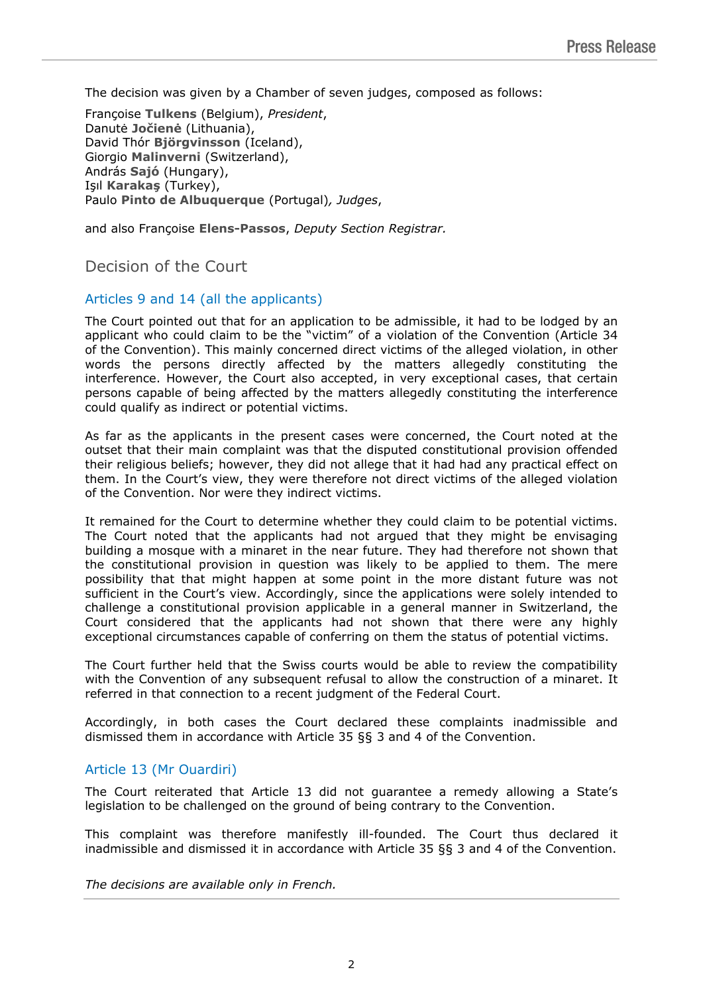The decision was given by a Chamber of seven judges, composed as follows:

Françoise **Tulkens** (Belgium), *President*, Danutė **Jočienė** (Lithuania), David Thór **Björgvinsson** (Iceland), Giorgio **Malinverni** (Switzerland), András **Sajó** (Hungary), Işıl **Karakaş** (Turkey), Paulo **Pinto de Albuquerque** (Portugal)*, Judges*,

and also Françoise **Elens-Passos**, *Deputy Section Registrar.*

## Decision of the Court

## Articles 9 and 14 (all the applicants)

The Court pointed out that for an application to be admissible, it had to be lodged by an applicant who could claim to be the "victim" of a violation of the Convention (Article 34 of the Convention). This mainly concerned direct victims of the alleged violation, in other words the persons directly affected by the matters allegedly constituting the interference. However, the Court also accepted, in very exceptional cases, that certain persons capable of being affected by the matters allegedly constituting the interference could qualify as indirect or potential victims.

As far as the applicants in the present cases were concerned, the Court noted at the outset that their main complaint was that the disputed constitutional provision offended their religious beliefs; however, they did not allege that it had had any practical effect on them. In the Court's view, they were therefore not direct victims of the alleged violation of the Convention. Nor were they indirect victims.

It remained for the Court to determine whether they could claim to be potential victims. The Court noted that the applicants had not argued that they might be envisaging building a mosque with a minaret in the near future. They had therefore not shown that the constitutional provision in question was likely to be applied to them. The mere possibility that that might happen at some point in the more distant future was not sufficient in the Court's view. Accordingly, since the applications were solely intended to challenge a constitutional provision applicable in a general manner in Switzerland, the Court considered that the applicants had not shown that there were any highly exceptional circumstances capable of conferring on them the status of potential victims.

The Court further held that the Swiss courts would be able to review the compatibility with the Convention of any subsequent refusal to allow the construction of a minaret. It referred in that connection to a recent judgment of the Federal Court.

Accordingly, in both cases the Court declared these complaints inadmissible and dismissed them in accordance with Article 35 §§ 3 and 4 of the Convention.

## Article 13 (Mr Ouardiri)

The Court reiterated that Article 13 did not guarantee a remedy allowing a State's legislation to be challenged on the ground of being contrary to the Convention.

This complaint was therefore manifestly ill-founded. The Court thus declared it inadmissible and dismissed it in accordance with Article 35 §§ 3 and 4 of the Convention.

*The decisions are available only in French.*